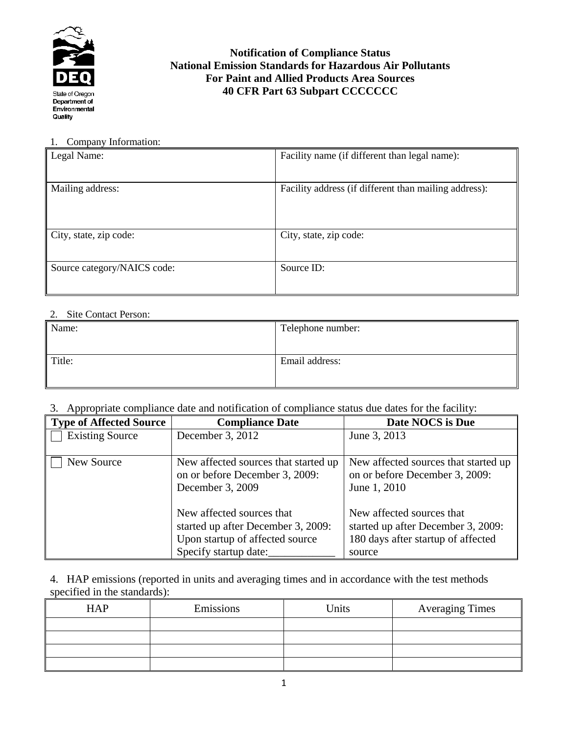

## **Notification of Compliance Status National Emission Standards for Hazardous Air Pollutants For Paint and Allied Products Area Sources 40 CFR Part 63 Subpart CCCCCCC**

#### 1. Company Information:

| Legal Name:                 | Facility name (if different than legal name):         |
|-----------------------------|-------------------------------------------------------|
| Mailing address:            | Facility address (if different than mailing address): |
| City, state, zip code:      | City, state, zip code:                                |
| Source category/NAICS code: | Source ID:                                            |

### 2. Site Contact Person:

| Name:  | Telephone number: |
|--------|-------------------|
|        |                   |
| Title: | Email address:    |
|        |                   |

### 3. Appropriate compliance date and notification of compliance status due dates for the facility:

| <b>Type of Affected Source</b> | <b>Compliance Date</b>                                                                                                      | Date NOCS is Due                                                                                                |
|--------------------------------|-----------------------------------------------------------------------------------------------------------------------------|-----------------------------------------------------------------------------------------------------------------|
| <b>Existing Source</b>         | December 3, 2012                                                                                                            | June 3, 2013                                                                                                    |
| New Source                     | New affected sources that started up<br>on or before December 3, 2009:<br>December 3, 2009                                  | New affected sources that started up<br>on or before December 3, 2009:<br>June 1, 2010                          |
|                                | New affected sources that<br>started up after December 3, 2009:<br>Upon startup of affected source<br>Specify startup date: | New affected sources that<br>started up after December 3, 2009:<br>180 days after startup of affected<br>source |

4. HAP emissions (reported in units and averaging times and in accordance with the test methods specified in the standards):

| <b>HAP</b> | Emissions | Units | <b>Averaging Times</b> |
|------------|-----------|-------|------------------------|
|            |           |       |                        |
|            |           |       |                        |
|            |           |       |                        |
|            |           |       |                        |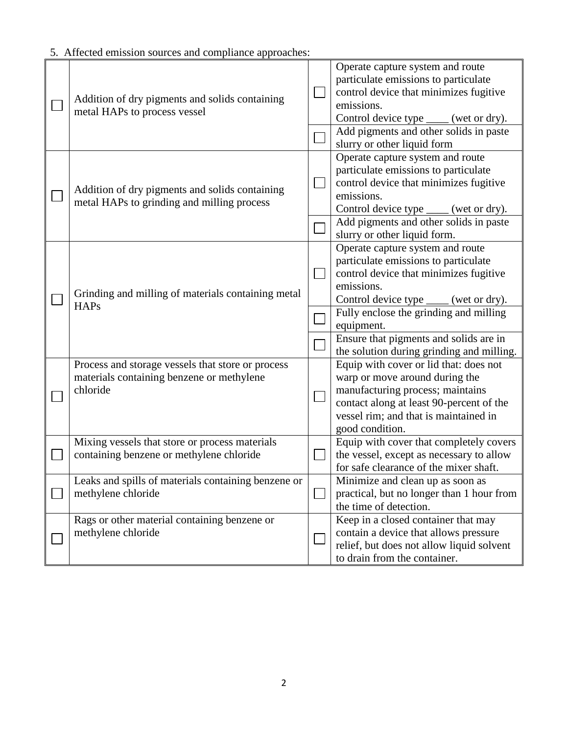| ). Affected emission sources and compilance approaches.                                                    |                                                                                                                                                                                                                                                                                                                            |
|------------------------------------------------------------------------------------------------------------|----------------------------------------------------------------------------------------------------------------------------------------------------------------------------------------------------------------------------------------------------------------------------------------------------------------------------|
| Addition of dry pigments and solids containing<br>metal HAPs to process vessel                             | Operate capture system and route<br>particulate emissions to particulate<br>control device that minimizes fugitive<br>emissions.<br>Control device type ____ (wet or dry).<br>Add pigments and other solids in paste                                                                                                       |
| Addition of dry pigments and solids containing<br>metal HAPs to grinding and milling process               | slurry or other liquid form<br>Operate capture system and route<br>particulate emissions to particulate<br>control device that minimizes fugitive<br>emissions.<br>Control device type _____ (wet or dry).<br>Add pigments and other solids in paste<br>slurry or other liquid form.                                       |
| Grinding and milling of materials containing metal<br><b>HAPs</b>                                          | Operate capture system and route<br>particulate emissions to particulate<br>control device that minimizes fugitive<br>emissions.<br>Control device type _____ (wet or dry).<br>Fully enclose the grinding and milling<br>equipment.<br>Ensure that pigments and solids are in<br>the solution during grinding and milling. |
| Process and storage vessels that store or process<br>materials containing benzene or methylene<br>chloride | Equip with cover or lid that: does not<br>warp or move around during the<br>manufacturing process; maintains<br>contact along at least 90-percent of the<br>vessel rim; and that is maintained in<br>good condition.                                                                                                       |
| Mixing vessels that store or process materials<br>containing benzene or methylene chloride                 | Equip with cover that completely covers<br>the vessel, except as necessary to allow<br>for safe clearance of the mixer shaft.                                                                                                                                                                                              |
| Leaks and spills of materials containing benzene or<br>methylene chloride                                  | Minimize and clean up as soon as<br>practical, but no longer than 1 hour from<br>the time of detection.                                                                                                                                                                                                                    |
| Rags or other material containing benzene or<br>methylene chloride                                         | Keep in a closed container that may<br>contain a device that allows pressure<br>relief, but does not allow liquid solvent<br>to drain from the container.                                                                                                                                                                  |

5. Affected emission sources and compliance approaches: